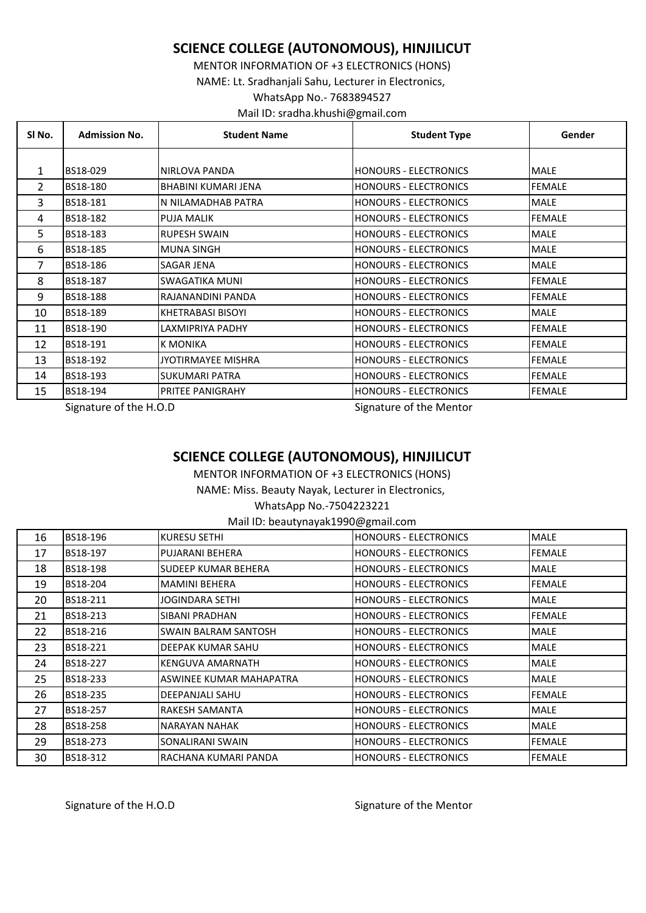## **SCIENCE COLLEGE (AUTONOMOUS), HINJILICUT**

MENTOR INFORMATION OF +3 ELECTRONICS (HONS) NAME: Lt. Sradhanjali Sahu, Lecturer in Electronics, WhatsApp No.- 7683894527 Mail ID: sradha.khushi@gmail.com

| SI No. | <b>Admission No.</b> | <b>Student Name</b>        | <b>Student Type</b>            | Gender        |
|--------|----------------------|----------------------------|--------------------------------|---------------|
|        |                      |                            |                                |               |
| 1      | BS18-029             | NIRLOVA PANDA              | <b>HONOURS - ELECTRONICS</b>   | <b>MALE</b>   |
| 2      | BS18-180             | <b>BHABINI KUMARI JENA</b> | <b>HONOURS - ELECTRONICS</b>   | <b>FEMALE</b> |
| 3      | BS18-181             | N NILAMADHAB PATRA         | <b>HONOURS - ELECTRONICS</b>   | <b>MALE</b>   |
| 4      | BS18-182             | PUJA MALIK                 | <b>HONOURS - ELECTRONICS</b>   | <b>FEMALE</b> |
| 5.     | BS18-183             | <b>RUPESH SWAIN</b>        | <b>HONOURS - ELECTRONICS</b>   | <b>MALE</b>   |
| 6      | BS18-185             | <b>MUNA SINGH</b>          | <b>HONOURS - ELECTRONICS</b>   | <b>MALE</b>   |
| 7      | BS18-186             | SAGAR JENA                 | <b>HONOURS - ELECTRONICS</b>   | <b>MALE</b>   |
| 8      | BS18-187             | SWAGATIKA MUNI             | <b>HONOURS - ELECTRONICS</b>   | <b>FEMALE</b> |
| 9      | BS18-188             | RAJANANDINI PANDA          | <b>HONOURS - ELECTRONICS</b>   | <b>FEMALE</b> |
| 10     | BS18-189             | KHETRABASI BISOYI          | <b>HONOURS - ELECTRONICS</b>   | <b>MALE</b>   |
| 11     | BS18-190             | LAXMIPRIYA PADHY           | <b>HONOURS - ELECTRONICS</b>   | <b>FEMALE</b> |
| 12     | BS18-191             | <b>K MONIKA</b>            | <b>HONOURS - ELECTRONICS</b>   | <b>FEMALE</b> |
| 13     | BS18-192             | JYOTIRMAYEE MISHRA         | <b>HONOURS - ELECTRONICS</b>   | <b>FEMALE</b> |
| 14     | BS18-193             | <b>SUKUMARI PATRA</b>      | <b>I</b> HONOURS - ELECTRONICS | <b>FEMALE</b> |
| 15     | BS18-194             | PRITEE PANIGRAHY           | <b>HONOURS - ELECTRONICS</b>   | <b>FEMALE</b> |

Signature of the H.O.D Signature of the Mentor

## **SCIENCE COLLEGE (AUTONOMOUS), HINJILICUT**

MENTOR INFORMATION OF +3 ELECTRONICS (HONS)

NAME: Miss. Beauty Nayak, Lecturer in Electronics,

WhatsApp No.-7504223221

Mail ID: beautynayak1990@gmail.com

| 16 | BS18-196        | KURESU SETHI               | <b>HONOURS - ELECTRONICS</b> | <b>MALE</b>   |
|----|-----------------|----------------------------|------------------------------|---------------|
| 17 | BS18-197        | PUJARANI BEHERA            | <b>HONOURS - ELECTRONICS</b> | <b>FEMALE</b> |
| 18 | BS18-198        | <b>SUDEEP KUMAR BEHERA</b> | <b>HONOURS - ELECTRONICS</b> | MALE          |
| 19 | BS18-204        | <b>MAMINI BEHERA</b>       | <b>HONOURS - ELECTRONICS</b> | <b>FEMALE</b> |
| 20 | BS18-211        | <b>JOGINDARA SETHI</b>     | HONOURS - ELECTRONICS        | <b>MALE</b>   |
| 21 | BS18-213        | SIBANI PRADHAN             | <b>HONOURS - ELECTRONICS</b> | <b>FEMALE</b> |
| 22 | <b>BS18-216</b> | SWAIN BALRAM SANTOSH       | <b>HONOURS - ELECTRONICS</b> | <b>MALE</b>   |
| 23 | BS18-221        | DEEPAK KUMAR SAHU          | <b>HONOURS - ELECTRONICS</b> | <b>MALE</b>   |
| 24 | <b>BS18-227</b> | KENGUVA AMARNATH           | <b>HONOURS - ELECTRONICS</b> | <b>MALE</b>   |
| 25 | BS18-233        | ASWINEE KUMAR MAHAPATRA    | <b>HONOURS - ELECTRONICS</b> | <b>MALE</b>   |
| 26 | BS18-235        | DEEPANJALI SAHU            | <b>HONOURS - ELECTRONICS</b> | <b>FEMALE</b> |
| 27 | <b>BS18-257</b> | <b>RAKESH SAMANTA</b>      | <b>HONOURS - ELECTRONICS</b> | <b>MALE</b>   |
| 28 | BS18-258        | NARAYAN NAHAK              | <b>HONOURS - ELECTRONICS</b> | <b>MALE</b>   |
| 29 | BS18-273        | SONALIRANI SWAIN           | <b>HONOURS - ELECTRONICS</b> | <b>FEMALE</b> |
| 30 | BS18-312        | RACHANA KUMARI PANDA       | <b>HONOURS - ELECTRONICS</b> | <b>FEMALE</b> |

Signature of the H.O.D Signature of the Mentor